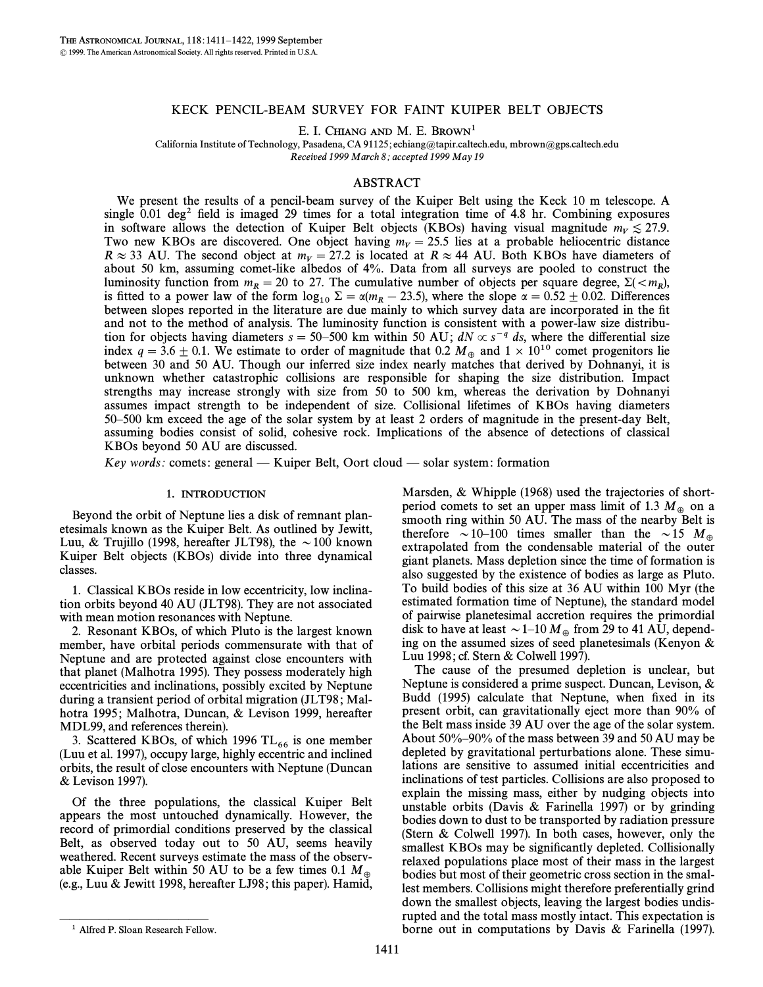## KECK PENCIL-BEAM SURVEY FOR FAINT KUIPER BELT OBJECTS

E. I. CHIANG AND M. E. BROWN<sup>1</sup>

California Institute of Technology, Pasadena, CA 91125; echiang@tapir.caltech.edu, mbrown@gps.caltech.edu Received 1999 March 8; accepted 1999 May 19

## ABSTRACT

We present the results of a pencil-beam survey of the Kuiper Belt using the Keck 10 m telescope. A single  $0.01 \text{ deg}^2$  field is imaged 29 times for a total integration time of 4.8 hr. Combining exposures in software allows the detection of Kuiper Belt objects (KBOs) having visual magnitude  $m_V \lesssim 27.9$ . Two new KBOs are discovered. One object having  $m_V = 25.5$  lies at a probable heliocentric distance  $R \approx 33$  AU. The second object at  $m_V = 27.2$  is located at  $R \approx 44$  AU. Both KBOs have diameters of about 50 km, assuming comet-like albedos of 4%. Data from all surveys are pooled to construct the luminosity function from  $m_R = 20$  to 27. The cumulative number of objects per square degree,  $\Sigma (\langle m_R \rangle)$ , is fitted to a nower law of the form log.  $\Sigma = \gamma(m - 23.5)$ , where the slope  $\gamma = 0.52 \pm 0.02$ . Differences is fitted to a power law of the form  $\log_{10} \Sigma = \alpha(m_R - 23.5)$ , where the slope  $\alpha = 0.52 \pm 0.02$ . Differences between slopes reported in the literature are due mainly to which survey data are incorporated in the fit and not to the method of analysis. The luminosity function is consistent with a power-law size distribution for objects having diameters  $s = 50-500$  km within 50 AU;  $dN \propto s^{-q} ds$ , where the differential size index  $q = 3.6 \pm 0.1$ . We estimate to order of magnitude that 0.2  $M_{\oplus}$  and  $1 \times 10^{10}$  comet progenitors lie between 30 and 50 AU. Though our inferred size index nearly matches that derived by Dohnanyi, it is unknown whether catastrophic collisions are responsible for shaping the size distribution. Impact strengths may increase strongly with size from 50 to 500 km, whereas the derivation by Dohnanyi assumes impact strength to be independent of size. Collisional lifetimes of KBOs having diameters 50–500 km exceed the age of the solar system by at least 2 orders of magnitude in the present-day Belt, assuming bodies consist of solid, cohesive rock. Implications of the absence of detections of classical KBOs beyond 50 AU are discussed.

Key words: comets: general — Kuiper Belt, Oort cloud — solar system: formation

## 1. INTRODUCTION

Beyond the orbit of Neptune lies a disk of remnant planetesimals known as the Kuiper Belt. As outlined by Jewitt, Luu, & Trujillo (1998, hereafter JLT98), the  $\sim$ 100 known Kuiper Belt objects (KBOs) divide into three dynamical classes.

1. Classical KBOs reside in low eccentricity, low inclination orbits beyond 40 AU (JLT98). They are not associated with mean motion resonances with Neptune.

2. Resonant KBOs, of which Pluto is the largest known member, have orbital periods commensurate with that of Neptune and are protected against close encounters with that planet (Malhotra 1995). They possess moderately high eccentricities and inclinations, possibly excited by Neptune during a transient period of orbital migration (JLT98; Malhotra 1995; Malhotra, Duncan, & Levison 1999, hereafter

MDL99, and references therein).<br>3. Scattered KBOs, of which 1996  $TL_{66}$  is one member (Luu et al. 1997), occupy large, highly eccentric and inclined orbits, the result of close encounters with Neptune (Duncan & Levison 1997).

Of the three populations, the classical Kuiper Belt appears the most untouched dynamically. However, the record of primordial conditions preserved by the classical Belt, as observed today out to 50 AU, seems heavily weathered. Recent surveys estimate the mass of the observable Kuiper Belt within 50 AU to be a few times 0.1  $M_{\oplus}$ (e.g., Luu & Jewitt 1998, hereafter LJ98 ; this paper). Hamid,

Marsden, & Whipple (1968) used the trajectories of shortperiod comets to set an upper mass limit of 1.3  $M_{\oplus}$  on a smooth ring within 50 AU. The mass of the nearby Belt is therefore  $\sim$  10–100 times smaller than the  $\sim$  15 M<sub> $\oplus$ </sub> extrapolated from the condensable material of the outer giant planets. Mass depletion since the time of formation is also suggested by the existence of bodies as large as Pluto. To build bodies of this size at 36 AU within 100 Myr (the estimated formation time of Neptune), the standard model of pairwise planetesimal accretion requires the primordial disk to have at least  $\sim$  1–10  $M_{\oplus}$  from 29 to 41 AU, depending on the assumed sizes of seed planetesimals (Kenyon & Luu 1998 ; cf. Stern & Colwell 1997).

The cause of the presumed depletion is unclear, but Neptune is considered a prime suspect. Duncan, Levison, & Budd (1995) calculate that Neptune, when fixed in its present orbit, can gravitationally eject more than 90% of the Belt mass inside 39 AU over the age of the solar system. About  $50\% - 90\%$  of the mass between 39 and 50 AU may be depleted by gravitational perturbations alone. These simulations are sensitive to assumed initial eccentricities and inclinations of test particles. Collisions are also proposed to explain the missing mass, either by nudging objects into unstable orbits (Davis  $\&$  Farinella 1997) or by grinding bodies down to dust to be transported by radiation pressure (Stern & Colwell 1997). In both cases, however, only the smallest KBOs may be significantly depleted. Collisionally relaxed populations place most of their mass in the largest bodies but most of their geometric cross section in the smallest members. Collisions might therefore preferentially grind down the smallest objects, leaving the largest bodies undisrupted and the total mass mostly intact. This expectation is borne out in computations by Davis & Farinella (1997).

ÈÈÈÈÈÈÈÈÈÈÈÈÈÈÈ

<sup>&</sup>lt;sup>1</sup> Alfred P. Sloan Research Fellow.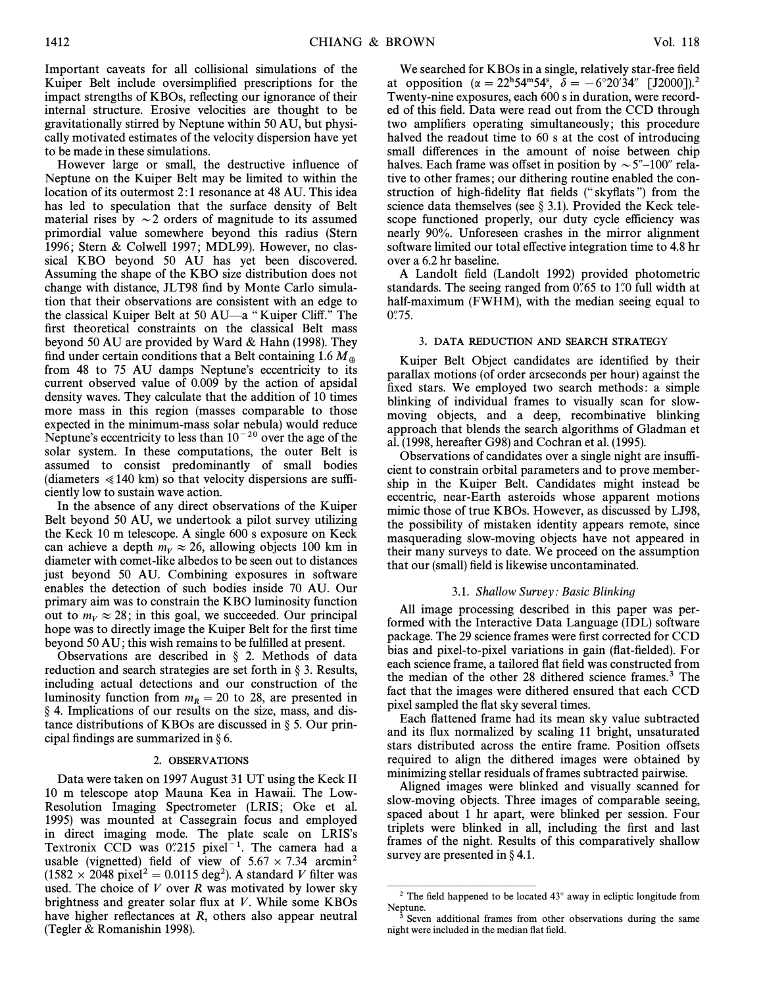Important caveats for all collisional simulations of the Kuiper Belt include oversimplified prescriptions for the impact strengths of KBOs, reflecting our ignorance of their internal structure. Erosive velocities are thought to be gravitationally stirred by Neptune within 50 AU, but physically motivated estimates of the velocity dispersion have yet to be made in these simulations.

However large or small, the destructive influence of Neptune on the Kuiper Belt may be limited to within the location of its outermost 2:1 resonance at 48 AU. This idea has led to speculation that the surface density of Belt material rises by  $\sim$  2 orders of magnitude to its assumed primordial value somewhere beyond this radius (Stern 1996; Stern & Colwell 1997; MDL99). However, no classical KBO beyond 50 AU has yet been discovered. Assuming the shape of the KBO size distribution does not change with distance, JLT98 find by Monte Carlo simulation that their observations are consistent with an edge to the classical Kuiper Belt at 50 AU—a "Kuiper Cliff." The first theoretical constraints on the classical Belt mass beyond 50 AU are provided by Ward & Hahn (1998). They find under certain conditions that a Belt containing 1.6  $M_{\oplus}$ from 48 to 75 AU damps Neptune's eccentricity to its current observed value of 0.009 by the action of apsidal density waves. They calculate that the addition of 10 times more mass in this region (masses comparable to those expected in the minimum-mass solar nebula) would reduce Neptune's eccentricity to less than  $10^{-20}$  over the age of the solar system. In these computations, the outer Belt is assumed to consist predominantly of small bodies (diameters  $\ll$  140 km) so that velocity dispersions are sufficiently low to sustain wave action.

In the absence of any direct observations of the Kuiper Belt beyond 50 AU, we undertook a pilot survey utilizing the Keck 10 m telescope. A single 600 s exposure on Keck can achieve a depth  $m_V \approx 26$ , allowing objects 100 km in diameter with comet-like albedos to be seen out to distances just beyond 50 AU. Combining exposures in software enables the detection of such bodies inside 70 AU. Our primary aim was to constrain the KBO luminosity function out to  $m_V \approx 28$ ; in this goal, we succeeded. Our principal hope was to directly image the Kuiper Belt for the first time beyond 50 AU; this wish remains to be fulfilled at present.

Observations are described in  $\S$  2. Methods of data reduction and search strategies are set forth in  $\S$  3. Results, including actual detections and our construction of the luminosity function from  $m_R = 20$  to 28, are presented in § 4. Implications of our results on the size, mass, and distance distributions of KBOs are discussed in  $\S$  5. Our principal findings are summarized in  $\S$  6.

## 2. OBSERVATIONS

Data were taken on 1997 August 31 UT using the Keck II 10 m telescope atop Mauna Kea in Hawaii. The Low-Resolution Imaging Spectrometer (LRIS; Oke et al. 1995) was mounted at Cassegrain focus and employed in direct imaging mode. The plate scale on LRIS's Textronix CCD was  $0''215$  pixel<sup>-1</sup>. The camera had a usable (vignetted) field of view of  $5.67 \times 7.34$  arcmin<sup>2</sup>  $(1582 \times 2048 \text{ pixel}^2 = 0.0115 \text{ deg}^2)$ . A standard V filter was used. The choice of  $V$  over  $R$  was motivated by lower sky brightness and greater solar flux at  $V$ . While some KBOs have higher reflectances at  $R$ , others also appear neutral (Tegler & Romanishin 1998).

We searched for KBOs in a single, relatively star-free field at opposition ( $\alpha = 22^{h}54^{m}54^{s}$ ,  $\delta = -6^{\circ}20'34''$  [J2000]).<sup>2</sup> Twenty-nine exposures, each 600 s in duration, were recorded of this field. Data were read out from the CCD through two amplifiers operating simultaneously; this procedure halved the readout time to 60 s at the cost of introducing small differences in the amount of noise between chip halves. Each frame was offset in position by  $\sim 5^{\prime\prime}$ –100'' relative to other frames; our dithering routine enabled the construction of high-fidelity flat fields ("skyflats") from the science data themselves (see  $\S$  3.1). Provided the Keck telescope functioned properly, our duty cycle efficiency was nearly 90%. Unforeseen crashes in the mirror alignment software limited our total effective integration time to 4.8 hr over a 6.2 hr baseline.

A Landolt field (Landolt 1992) provided photometric standards. The seeing ranged from  $0\rlap.{''}65$  to 1 $\rlap.{''}0$  full width at half-maximum (FWHM), with the median seeing equal to  $0.75.$ 

## 3. DATA REDUCTION AND SEARCH STRATEGY

Kuiper Belt Object candidates are identified by their parallax motions (of order arcseconds per hour) against the fixed stars. We employed two search methods: a simple blinking of individual frames to visually scan for slowmoving objects, and a deep, recombinative blinking approach that blends the search algorithms of Gladman et al. (1998, hereafter G98) and Cochran et al. (1995).

Observations of candidates over a single night are insufficient to constrain orbital parameters and to prove membership in the Kuiper Belt. Candidates might instead be eccentric, near-Earth asteroids whose apparent motions mimic those of true KBOs. However, as discussed by LJ98, the possibility of mistaken identity appears remote, since masquerading slow-moving objects have not appeared in their many surveys to date. We proceed on the assumption that our (small) field is likewise uncontaminated.

#### 3.1. Shallow Survey: Basic Blinking

All image processing described in this paper was performed with the Interactive Data Language (IDL) software package. The 29 science frames were first corrected for CCD bias and pixel-to-pixel variations in gain (flat-fielded). For each science frame, a tailored flat field was constructed from the median of the other 28 dithered science frames.3 The fact that the images were dithered ensured that each CCD pixel sampled the flat sky several times.

Each flattened frame had its mean sky value subtracted and its flux normalized by scaling 11 bright, unsaturated stars distributed across the entire frame. Position offsets required to align the dithered images were obtained by minimizing stellar residuals of frames subtracted pairwise.

Aligned images were blinked and visually scanned for slow-moving objects. Three images of comparable seeing, spaced about 1 hr apart, were blinked per session. Four triplets were blinked in all, including the first and last frames of the night. Results of this comparatively shallow survey are presented in  $\S 4.1$ .

ÈÈÈÈÈÈÈÈÈÈÈÈÈÈÈ

<sup>&</sup>lt;sup>2</sup> The field happened to be located  $43^{\circ}$  away in ecliptic longitude from Neptune.

Seven additional frames from other observations during the same night were included in the median flat field.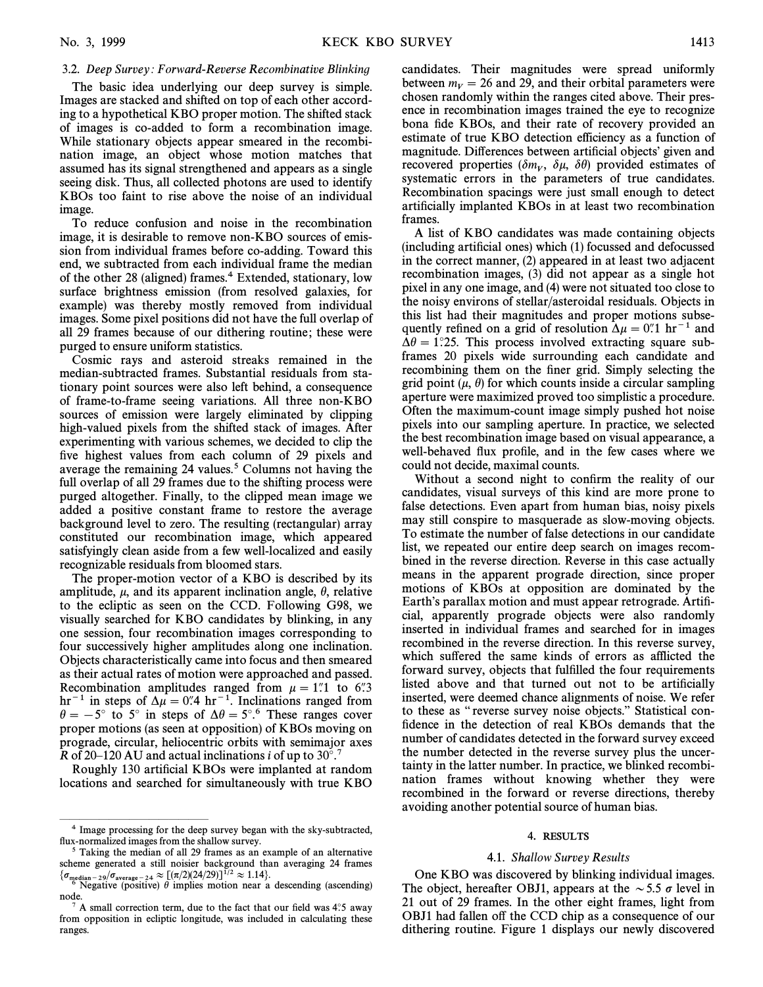# 3.2. Deep Survey: Forward-Reverse Recombinative Blinking

The basic idea underlying our deep survey is simple. Images are stacked and shifted on top of each other according to a hypothetical KBO proper motion. The shifted stack of images is co-added to form a recombination image. While stationary objects appear smeared in the recombination image, an object whose motion matches that assumed has its signal strengthened and appears as a single seeing disk. Thus, all collected photons are used to identify KBOs too faint to rise above the noise of an individual image.

To reduce confusion and noise in the recombination image, it is desirable to remove non-KBO sources of emission from individual frames before co-adding. Toward this end, we subtracted from each individual frame the median of the other 28 (aligned) frames.<sup>4</sup> Extended, stationary, low surface brightness emission (from resolved galaxies, for example) was thereby mostly removed from individual images. Some pixel positions did not have the full overlap of all 29 frames because of our dithering routine; these were purged to ensure uniform statistics.

Cosmic rays and asteroid streaks remained in the median-subtracted frames. Substantial residuals from stationary point sources were also left behind, a consequence of frame-to-frame seeing variations. All three non-KBO sources of emission were largely eliminated by clipping high-valued pixels from the shifted stack of images. After experimenting with various schemes, we decided to clip the five highest values from each column of 29 pixels and average the remaining 24 values.<sup>5</sup> Columns not having the full overlap of all 29 frames due to the shifting process were purged altogether. Finally, to the clipped mean image we added a positive constant frame to restore the average background level to zero. The resulting (rectangular) array constituted our recombination image, which appeared satisfyingly clean aside from a few well-localized and easily recognizable residuals from bloomed stars.

The proper-motion vector of a KBO is described by its amplitude,  $\mu$ , and its apparent inclination angle,  $\theta$ , relative to the ecliptic as seen on the CCD. Following G98, we visually searched for KBO candidates by blinking, in any one session, four recombination images corresponding to four successively higher amplitudes along one inclination. Objects characteristically came into focus and then smeared as their actual rates of motion were approached and passed. Recombination amplitudes ranged from  $\mu = 1$ . to 6. A. hr<sup>-1</sup> in steps of  $\Delta \mu = 0$ . <sup>4</sup> hr<sup>-1</sup>. Inclinations ranged from  $\theta = -5^{\circ}$  to 5° in steps of  $\Delta \theta = 5^{\circ}$ .<sup>6</sup> These ranges cover proper motions (as seen at opposition) of KBOs moving on prograde, circular, heliocentric orbits with semimajor axes R of 20–120 AU and actual inclinations i of up to 30°.<sup>7</sup>

Roughly 130 artificial KBOs were implanted at random locations and searched for simultaneously with true KBO candidates. Their magnitudes were spread uniformly between  $m_V = 26$  and 29, and their orbital parameters were chosen randomly within the ranges cited above. Their presence in recombination images trained the eye to recognize bona fide KBOs, and their rate of recovery provided an estimate of true KBO detection efficiency as a function of magnitude. Differences between artificial objects' given and recovered properties  $(\delta m_V, \delta \mu, \delta \theta)$  provided estimates of vertices are verticed as verticed as  $\delta \mu$ ,  $\delta \theta$  and  $\delta \theta$  are verticed as  $\delta \theta$  and  $\delta \theta$  and  $\delta \theta$  are verticed as  $\delta \theta$  and  $\delta \theta$  are verticed as  $\$ systematic errors in the parameters of true candidates. Recombination spacings were just small enough to detect artificially implanted KBOs in at least two recombination frames.

A list of KBO candidates was made containing objects  $(including artificial ones) which (1) focused and defocused$ in the correct manner, (2) appeared in at least two adjacent recombination images, (3) did not appear as a single hot pixel in any one image, and (4) were not situated too close to the noisy environs of stellar/asteroidal residuals. Objects in this list had their magnitudes and proper motions subsequently refined on a grid of resolution  $\Delta \mu = 0$ . <sup>1</sup> and  $\Delta\theta = 1^\circ 25$ . This process involved extracting square subframes 20 pixels wide surrounding each candidate and recombining them on the finer grid. Simply selecting the grid point  $(\mu, \theta)$  for which counts inside a circular sampling aperture were maximized proved too simplistic a procedure. Often the maximum-count image simply pushed hot noise pixels into our sampling aperture. In practice, we selected the best recombination image based on visual appearance, a well-behaved flux profile, and in the few cases where we could not decide, maximal counts.

Without a second night to confirm the reality of our candidates, visual surveys of this kind are more prone to false detections. Even apart from human bias, noisy pixels may still conspire to masquerade as slow-moving objects. To estimate the number of false detections in our candidate list, we repeated our entire deep search on images recombined in the reverse direction. Reverse in this case actually means in the apparent prograde direction, since proper motions of KBOs at opposition are dominated by the Earth's parallax motion and must appear retrograde. Artificial, apparently prograde objects were also randomly inserted in individual frames and searched for in images recombined in the reverse direction. In this reverse survey, which suffered the same kinds of errors as afflicted the forward survey, objects that fulfilled the four requirements listed above and that turned out not to be artificially inserted, were deemed chance alignments of noise. We refer to these as "reverse survey noise objects." Statistical confidence in the detection of real KBOs demands that the number of candidates detected in the forward survey exceed the number detected in the reverse survey plus the uncertainty in the latter number. In practice, we blinked recombination frames without knowing whether they were recombined in the forward or reverse directions, thereby avoiding another potential source of human bias.

## 4. RESULTS

#### 4.1. Shallow Survey Results

One KBO was discovered by blinking individual images. The object, hereafter OBJ1, appears at the  $\sim$  5.5  $\sigma$  level in 21 out of 29 frames. In the other eight frames, light from OBJ1 had fallen off the CCD chip as a consequence of our dithering routine. Figure 1 displays our newly discovered

ÈÈÈÈÈÈÈÈÈÈÈÈÈÈÈ <sup>4</sup> Image processing for the deep survey began with the sky-subtracted, flux-normalized images from the shallow survey.

Taking the median of all 29 frames as an example of an alternative scheme generated a still noisier background than averaging 24 frames

 $\{\sigma_{\text{median}-29}/\sigma_{\text{average}-24} \approx [(\pi/2)(24/29)]^{1/2} \approx 1.14\}.$ <br>  $\text{Negative (positive) } \theta \text{ implies motion near a descending (ascending))}$ node.

 $7$  A small correction term, due to the fact that our field was 4 $.5$  away from opposition in ecliptic longitude, was included in calculating these ranges.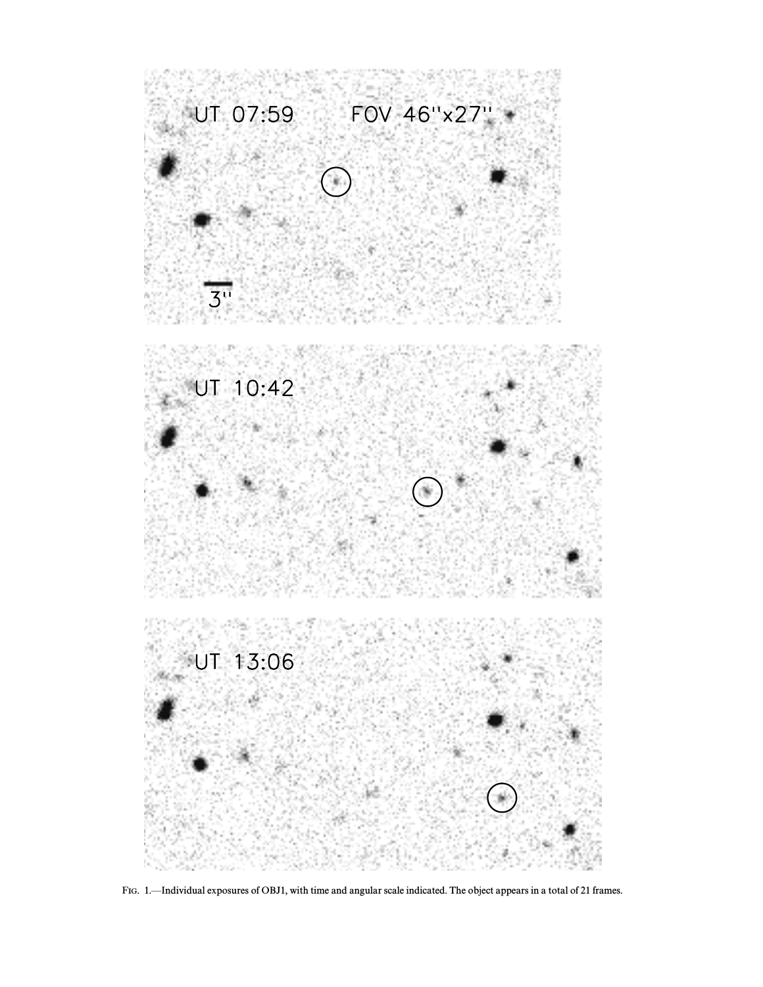

FIG. 1.—Individual exposures of OBJ1, with time and angular scale indicated. The object appears in a total of 21 frames.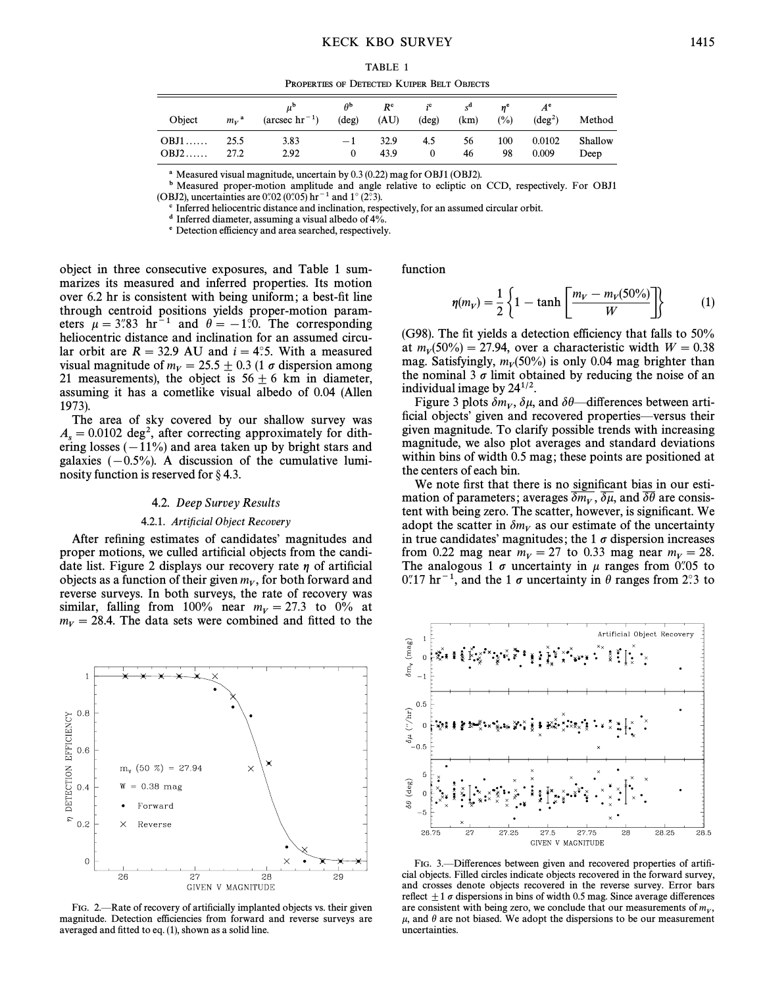PROPERTIES OF DETECTED KUIPER BELT OBJECTS

| Object | $m_{V}$ <sup>a</sup> | $(\text{arcsec hr}^{-1})$ | $\theta^{\mathtt{b}}$<br>$(\text{deg})$ | $R^c$<br>(AU) | $i^c$<br>$(\text{deg})$ | $s^{\mathbf{a}}$<br>(km) | $\frac{1}{2}$ | $A^e$<br>$(\text{deg}^2)$ | Method  |
|--------|----------------------|---------------------------|-----------------------------------------|---------------|-------------------------|--------------------------|---------------|---------------------------|---------|
| $OBJ1$ | 25.5                 | 3.83                      | $-1$                                    | 32.9          | 4.5                     | 56                       | 100           | 0.0102                    | Shallow |
| $OBJ2$ | 27.2                 | 2.92                      | $\theta$                                | 43.9          |                         | 46                       | 98            | 0.009                     | Deep    |

<sup>a</sup> Measured visual magnitude, uncertain by 0.3 (0.22) mag for OBJ1 (OBJ2).

b Measured proper-motion amplitude and angle relative to ecliptic on CCD, respectively. For OBJ1 (OBJ2), uncertainties are 0.02 (0.05)  $\rm hr^{-1}$  and 1° (2°.3).

c Inferred heliocentric distance and inclination, respectively, for an assumed circular orbit.

d Inferred diameter, assuming a visual albedo of 4%.

e Detection efficiency and area searched, respectively.

object in three consecutive exposures, and Table 1 summarizes its measured and inferred properties. Its motion over 6.2 hr is consistent with being uniform; a best-fit line through centroid positions yields proper-motion parameters  $\mu = 3\degree 83 ~\text{hr}^{-1}$  and  $\theta = -1\degree 0$ . The corresponding heliocentric distance and inclination for an assumed circular orbit are  $R = 32.9$  AU and  $i = 4^\circ$ ; With a measured visual magnitude of  $m_V = 25.5 \pm 0.3$  (1  $\sigma$  dispersion among 21 measurements), the object is  $56 \pm 6$  km in diameter, assuming it has a cometlike visual albedo of 0.04 (Allen 1973).

The area of sky covered by our shallow survey was  $A_s = 0.0102 \text{ deg}^2$ , after correcting approximately for dith-<br>ering losses ( – 11%) and area taken up by bright stars and ering losses  $(-11\%)$  and area taken up by bright stars and galaxies  $(-0.5\%)$ . A discussion of the cumulative luminosity function is reserved for  $\S$  4.3.

#### 4.2. Deep Survey Results

#### 4.2.1. Artificial Object Recovery

After refining estimates of candidates' magnitudes and proper motions, we culled artificial objects from the candidate list. Figure 2 displays our recovery rate  $\eta$  of artificial objects as a function of their given  $m_V$ , for both forward and reverse surveys. In both surveys, the rate of recovery was reverse surveys. In both surveys, the rate of recovery was similar, falling from 100% near  $m_V = 27.3$  to 0% at  $m_V = 28.4$ . The data sets were combined and fitted to the



FIG. 2.—Rate of recovery of artificially implanted objects vs. their given magnitude. Detection efficiencies from forward and reverse surveys are averaged and fitted to eq. (1), shown as a solid line.

function

$$
\eta(m_V) = \frac{1}{2} \left\{ 1 - \tanh \left[ \frac{m_V - m_V(50\%)}{W} \right] \right\}
$$
 (1)

(G98). The fit yields a detection efficiency that falls to  $50\%$ at  $m_V(50\%) = 27.94$ , over a characteristic width  $W = 0.38$  mag Satisfyingly m  $(50\%)$  is only 0.04 mag brighter than mag. Satisfyingly,  $m_V(50\%)$  is only 0.04 mag brighter than the nominal 3  $\sigma$  limit obtained by reducing the noise of an the nominal 3  $\sigma$  limit obtained by reducing the noise of an individual image by  $24^{1/2}$ .

Figure 3 plots  $\delta m_V$ ,  $\delta \mu$ , and  $\delta \theta$ —differences between arti-<br>ial objects' given and recovered properties—versus their ficial objects' given and recovered properties—versus their given magnitude. To clarify possible trends with increasing magnitude, we also plot averages and standard deviations within bins of width 0.5 mag; these points are positioned at the centers of each bin.

We note first that there is no significant bias in our estimation of parameters; averages  $\overline{\delta m_V}$ ,  $\overline{\delta \mu}$ , and  $\overline{\delta \theta}$  are consistent with being zero. The scatter, however, is significant. We adopt the scatter in  $\delta m_V$  as our estimate of the uncertainty in true candidates' magnitudes; the 1  $\sigma$  dispersion increases from 0.22 mag near  $m_V = 27$  to 0.33 mag near  $m_V = 28$ . The analogous 1  $\sigma$  uncertainty in  $\mu$  ranges from 0.05 to 0.''17 hr<sup>-1</sup>, and the 1  $\sigma$  uncertainty in  $\theta$  ranges from 2.''3 to

Artificial Object Recovery

 $\delta$ m,  $(mag)$  $\delta\mu$  ("/hr)  $\Omega$  $\delta\theta$  (deg)  $26.75$ 27.25  $27.5$ 27.75 28.25  $\frac{1}{28.5}$  $2^{\circ}$ 28 GIVEN V MAGNITUDE

FIG. 3.-Differences between given and recovered properties of artificial objects. Filled circles indicate objects recovered in the forward survey, and crosses denote objects recovered in the reverse survey. Error bars reflect  $\pm 1$   $\sigma$  dispersions in bins of width 0.5 mag. Since average differences are consistent with being zero, we conclude that our measurements of  $m_V$ , and  $\theta$  are not biased. We adopt the dispersions to be our measurement  $\mu$ , and  $\theta$  are not biased. We adopt the dispersions to be our measurement uncertainties.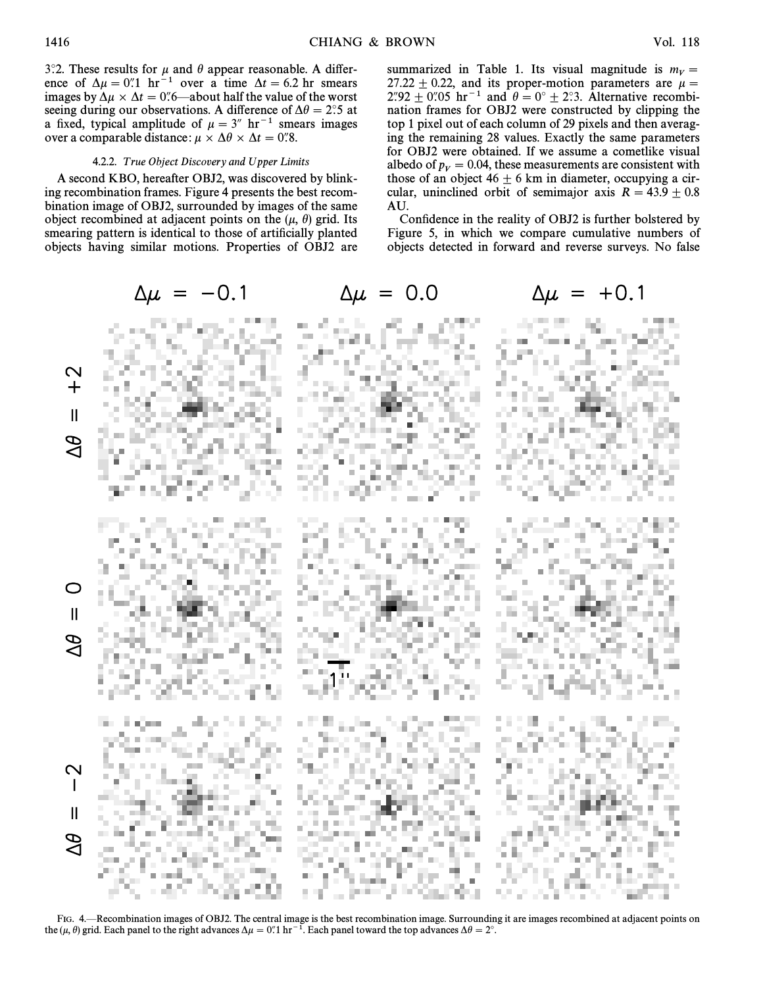3.2. These results for  $\mu$  and  $\theta$  appear reasonable. A difference of  $\Delta \mu = 0$ ". hr<sup>-1</sup> over a time  $\Delta t = 6.2$  hr smears images by  $\Delta \mu \times \Delta t = 0$ .6—about half the value of the worst seeing during our observations. A difference of  $\Delta\theta = 2$ °.5 at a fixed, typical amplitude of  $\mu = 3^{\prime\prime}$  hr<sup>-1</sup> smears images over a comparable distance:  $\mu \times \Delta\theta \times \Delta t = 0$ .8.

## 4.2.2. True Object Discovery and Upper Limits

A second KBO, hereafter OBJ2, was discovered by blinking recombination frames. Figure 4 presents the best recombination image of OBJ2, surrounded by images of the same object recombined at adjacent points on the  $(\mu, \theta)$  grid. Its smearing pattern is identical to those of artificially planted objects having similar motions. Properties of OBJ2 are summarized in Table 1. Its visual magnitude is  $m_V =$ 27.22  $\pm$  0.22, and its proper-motion parameters are  $\mu$  = 2.92  $\pm$  0.05 hr<sup>-1</sup> and  $\theta = 0^\circ \pm 2$ ?3. Alternative recombination frames for OBJ2 were constructed by clipping the top 1 pixel out of each column of 29 pixels and then averaging the remaining 28 values. Exactly the same parameters for OBJ2 were obtained. If we assume a cometlike visual albedo of  $p_v = 0.04$ , these measurements are consistent with those of an object  $46 + 6$  km in diameter occupying a cirthose of an object  $46 \pm 6$  km in diameter, occupying a circular, uninclined orbit of semimajor axis  $R = 43.9 \pm 0.8$ AU.

Confidence in the reality of OBJ2 is further bolstered by Figure 5, in which we compare cumulative numbers of objects detected in forward and reverse surveys. No false



FIG. 4. Recombination images of OBJ2. The central image is the best recombination image. Surrounding it are images recombined at adjacent points on the ( $\mu$ ,  $\theta$ ) grid. Each panel to the right advances  $\Delta \mu = 0.1$  hr<sup>-1</sup>. Each panel toward the top advances  $\Delta \theta = 2^\circ$ .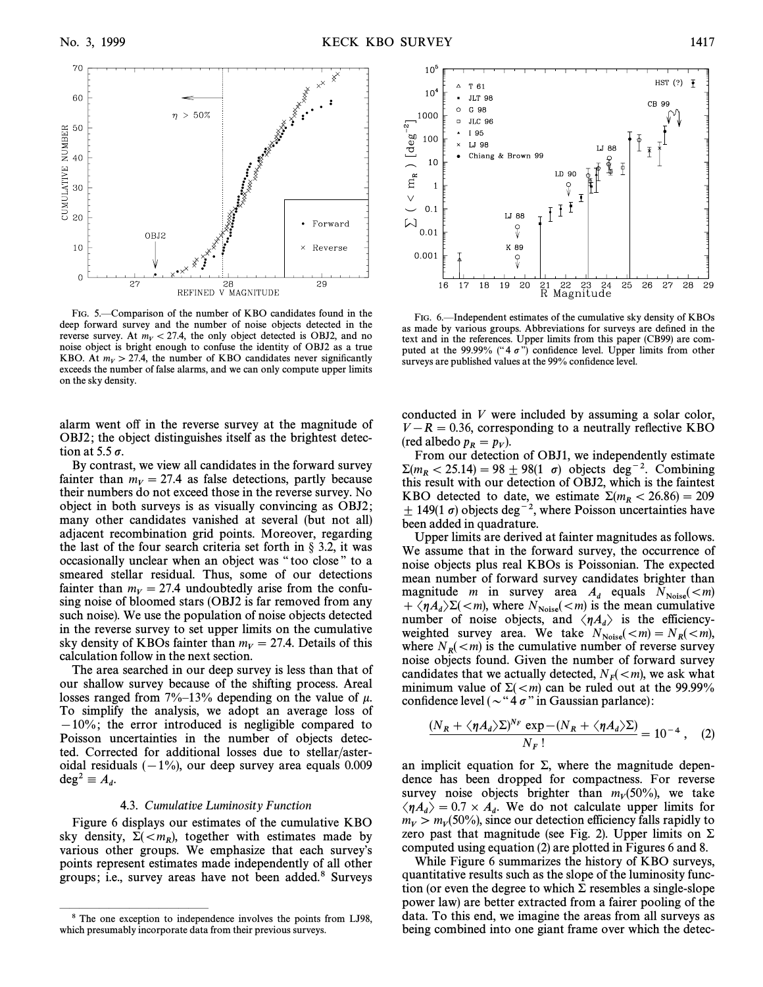

FIG. 5.—Comparison of the number of KBO candidates found in the deep forward survey and the number of noise objects detected in the reverse survey. At  $m_V < 27.4$ , the only object detected is OBJ2, and no noise object is bright enough to confuse the identity of OBJ2 as a true KBO. At  $m_V > 27.4$ , the number of KBO candidates never significantly exceeds the number of false alarms, and we can only compute upper limits on the sky density.

alarm went off in the reverse survey at the magnitude of OBJ2; the object distinguishes itself as the brightest detection at 5.5  $\sigma$ .

By contrast, we view all candidates in the forward survey fainter than  $m_V = 27.4$  as false detections, partly because their numbers do not exceed those in the reverse survey. No object in both surveys is as visually convincing as OBJ2 ; many other candidates vanished at several (but not all) adjacent recombination grid points. Moreover, regarding the last of the four search criteria set forth in  $\S$  3.2, it was occasionally unclear when an object was "too close" to a smeared stellar residual. Thus, some of our detections fainter than  $m_V = 27.4$  undoubtedly arise from the confusing noise of bloomed stars (OBJ2 is far removed from any such noise). We use the population of noise objects detected in the reverse survey to set upper limits on the cumulative sky density of KBOs fainter than  $m_V = 27.4$ . Details of this calculation follow in the next section.

The area searched in our deep survey is less than that of our shallow survey because of the shifting process. Areal losses ranged from  $7\%-13\%$  depending on the value of  $\mu$ . To simplify the analysis, we adopt an average loss of  $-10\%$ ; the error introduced is negligible compared to Poisson uncertainties in the number of objects detected. Corrected for additional losses due to stellar/asteroidal residuals  $(-1\%)$ , our deep survey area equals 0.009  $\deg^2 \equiv A_d$ .

## 4.3. Cumulative Luminosity Function

Figure 6 displays our estimates of the cumulative KBO sky density,  $\Sigma(, together with estimates made by various other groups. We emphasize that each survey's$ various other groups. We emphasize that each survey's points represent estimates made independently of all other groups; i.e., survey areas have not been added.<sup>8</sup> Surveys

ÈÈÈÈÈÈÈÈÈÈÈÈÈÈÈ



FIG. 6.—Independent estimates of the cumulative sky density of KBOs as made by various groups. Abbreviations for surveys are defined in the text and in the references. Upper limits from this paper (CB99) are computed at the 99.99% ("4 $\sigma$ ") confidence level. Upper limits from other surveys are published values at the 99% confidence level.

conducted in V were included by assuming a solar color,  $V - R = 0.36$ , corresponding to a neutrally reflective KBO (red albedo  $p_R = p_V$ ).<br>From our detection

From our detection of OBJ1, we independently estimate  $\Sigma(m_R < 25.14) = 98 \pm 98(1 \sigma)$  objects deg<sup>-2</sup>. Combining this result with our detection of OBJ2, which is the faintest KBO detected to date, we estimate  $\Sigma(m_R < 26.86) = 209$  $\pm$  149(1  $\sigma$ ) objects deg<sup>-2</sup>, where Poisson uncertainties have been added in quadrature.

Upper limits are derived at fainter magnitudes as follows. We assume that in the forward survey, the occurrence of noise objects plus real KBOs is Poissonian. The expected mean number of forward survey candidates brighter than magnitude *m* in survey area  $A_d$  equals  $N_{\text{Noise}}(*m*)$  $+\langle \eta A_d \rangle \Sigma(\langle m)$ , where  $N_{\text{Noise}}(\langle m \rangle)$  is the mean cumulative<br>number of noise objects, and  $\langle n A \rangle$  is the efficiency number of noise objects, and  $\langle n A_d \rangle$  is the efficiency-<br>weighted survey area. We take  $N = (m - N \ (\le m)$ weighted survey area. We take  $N_{\text{Noise}}(< m) = N_R(< m)$ ,<br>where  $N_{\text{bias}}(< m)$  is the cumulative number of reverse survey where  $N_R(\lt m)$  is the cumulative number of reverse survey<br>noise objects found. Given the number of forward survey noise objects found. Given the number of forward survey candidates that we actually detected,  $N_F(\leq m)$ , we ask what minimum value of  $\Sigma(\leq m)$  can be ruled out at the 99 99% minimum value of  $\Sigma(\lt m)$  can be ruled out at the 99.99% confidence level ( $\sim$ "4  $\sigma$ " in Gaussian parlance):

$$
\frac{(N_R + \langle \eta A_d \rangle \Sigma)^{N_F} \exp - (N_R + \langle \eta A_d \rangle \Sigma)}{N_F!} = 10^{-4}, \quad (2)
$$

an implicit equation for  $\Sigma$ , where the magnitude dependence has been dropped for compactness. For reverse survey noise objects brighter than  $m_V(50\%)$ , we take  $\langle \eta A_d \rangle = 0.7 \times A_d$ . We do not calculate upper limits for  $m \ge m$  (50%) since our detection efficiency falls rapidly to  $m_V > m_V(50\%)$ , since our detection efficiency falls rapidly to  $\overline{S}$  rapidly to  $\overline{S}$ zero past that magnitude (see Fig. 2). Upper limits on  $\Sigma$ computed using equation (2) are plotted in Figures 6 and 8.

While Figure 6 summarizes the history of KBO surveys, quantitative results such as the slope of the luminosity function (or even the degree to which  $\Sigma$  resembles a single-slope power law) are better extracted from a fairer pooling of the data. To this end, we imagine the areas from all surveys as being combined into one giant frame over which the detec-

<sup>8</sup> The one exception to independence involves the points from LJ98, which presumably incorporate data from their previous surveys.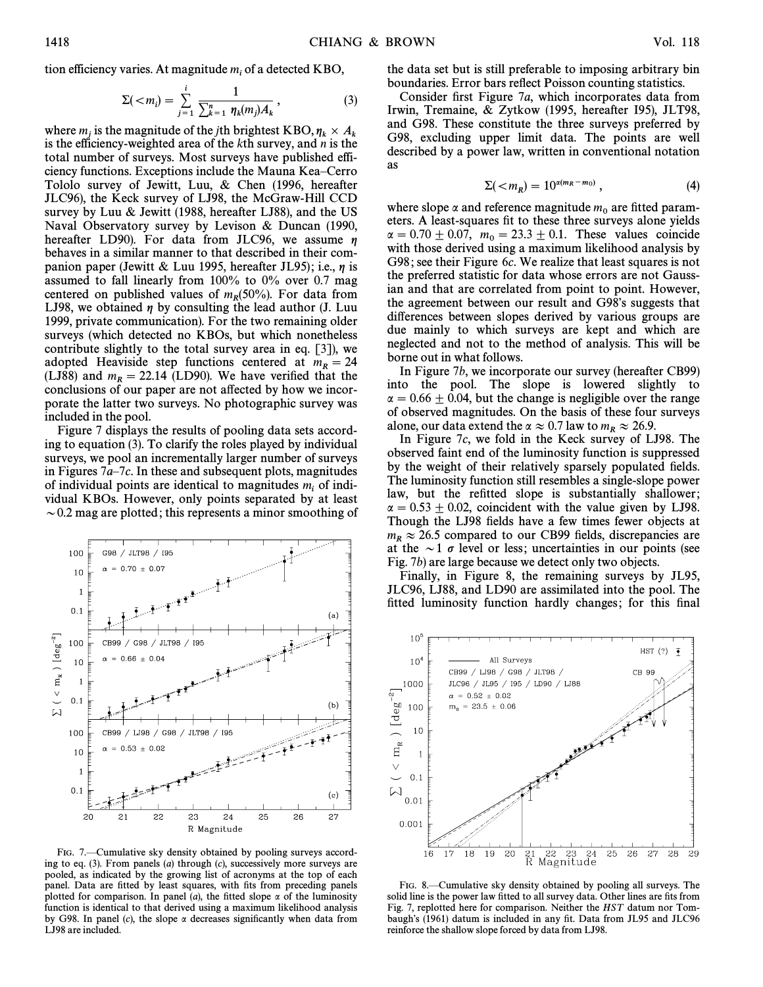tion efficiency varies. At magnitude  $m_i$  of a detected KBO,

$$
\Sigma(
$$

where  $m_i$  is the magnitude of the jth brightest KBO,  $\eta_k \times A_k$ where  $m_j$  is the magnitude of the *j*th brightest KBO,  $\eta_k \times A_k$  is the efficiency-weighted area of the *k*th survey, and *n* is the total number of surveys. Most surveys have published efficiency functions. Exceptions include the Mauna Kea–Cerro Tololo survey of Jewitt, Luu, & Chen (1996, hereafter JLC96), the Keck survey of LJ98, the McGraw-Hill CCD survey by Luu & Jewitt (1988, hereafter LJ88), and the US Naval Observatory survey by Levison & Duncan (1990, hereafter LD90). For data from JLC96, we assume  $\eta$ behaves in a similar manner to that described in their companion paper (Jewitt & Luu 1995, hereafter JL95); i.e.,  $\eta$  is assumed to fall linearly from 100% to 0% over 0.7 mag centered on published values of  $m_R(50\%)$ . For data from<br>LIQ8, we obtained n by consulting the lead author (L Luu LJ98, we obtained  $\eta$  by consulting the lead author (J. Luu 1999, private communication). For the two remaining older surveys (which detected no KBOs, but which nonetheless contribute slightly to the total survey area in eq. [3]), we adopted Heaviside step functions centered at  $m_R = 24$ (LJ88) and  $m_R = 22.14$  (LD90). We have verified that the conclusions of our paper are not affected by how we incorporate the latter two surveys. No photographic survey was included in the pool.

Figure 7 displays the results of pooling data sets according to equation (3). To clarify the roles played by individual surveys, we pool an incrementally larger number of surveys in Figures  $7a-7c$ . In these and subsequent plots, magnitudes of individual points are identical to magnitudes  $m_i$  of individual KBOs. However, only points separated by at least  $\sim$  0.2 mag are plotted; this represents a minor smoothing of



FIG. 7.—Cumulative sky density obtained by pooling surveys according to eq.  $(3)$ . From panels  $(a)$  through  $(c)$ , successively more surveys are pooled, as indicated by the growing list of acronyms at the top of each panel. Data are fitted by least squares, with fits from preceding panels plotted for comparison. In panel (a), the fitted slope  $\alpha$  of the luminosity function is identical to that derived using a maximum likelihood analysis by G98. In panel (c), the slope  $\alpha$  decreases significantly when data from LJ98 are included.

the data set but is still preferable to imposing arbitrary bin boundaries. Error bars reflect Poisson counting statistics.

Consider first Figure 7 $a$ , which incorporates data from Irwin, Tremaine, & Zytkow (1995, hereafter I95), JLT98, and G98. These constitute the three surveys preferred by G98, excluding upper limit data. The points are well described by a power law, written in conventional notation as

$$
\Sigma(\langle m_R \rangle = 10^{\alpha(m_R - m_0)}, \qquad (4)
$$

where slope  $\alpha$  and reference magnitude  $m_0$  are fitted param-<br>eters. A least-squares fit to these three surveys alone yields  $\alpha = 0.70 \pm 0.07$ ,  $m_0 = 23.3 \pm 0.1$ . These values coincide with those derived using a maximum likelihood analysis by G98; see their Figure 6c. We realize that least squares is not the preferred statistic for data whose errors are not Gaussian and that are correlated from point to point. However, the agreement between our result and G98's suggests that differences between slopes derived by various groups are due mainly to which surveys are kept and which are neglected and not to the method of analysis. This will be borne out in what follows.

In Figure 7b, we incorporate our survey (hereafter CB99) into the pool. The slope is lowered slightly to  $\alpha = 0.66 \pm 0.04$ , but the change is negligible over the range of observed magnitudes. On the basis of these four surveys alone, our data extend the  $\alpha \approx 0.7$  law to  $m_R \approx 26.9$ .

In Figure 7c, we fold in the Keck survey of LJ98. The observed faint end of the luminosity function is suppressed by the weight of their relatively sparsely populated fields. The luminosity function still resembles a single-slope power law, but the refitted slope is substantially shallower;  $\alpha = 0.53 \pm 0.02$ , coincident with the value given by LJ98. Though the LJ98 fields have a few times fewer objects at  $m_R \approx 26.5$  compared to our CB99 fields, discrepancies are at the  $\sim$ 1  $\sigma$  level or less; uncertainties in our points (see Fig. 7b) are large because we detect only two objects.

Finally, in Figure 8, the remaining surveys by JL95, JLC96, LJ88, and LD90 are assimilated into the pool. The fitted luminosity function hardly changes; for this final



FIG. 8.—Cumulative sky density obtained by pooling all surveys. The solid line is the power law fitted to all survey data. Other lines are fits from Fig. 7, replotted here for comparison. Neither the HST datum nor Tombaugh's  $(1961)$  datum is included in any fit. Data from JL95 and JLC96 reinforce the shallow slope forced by data from LJ98.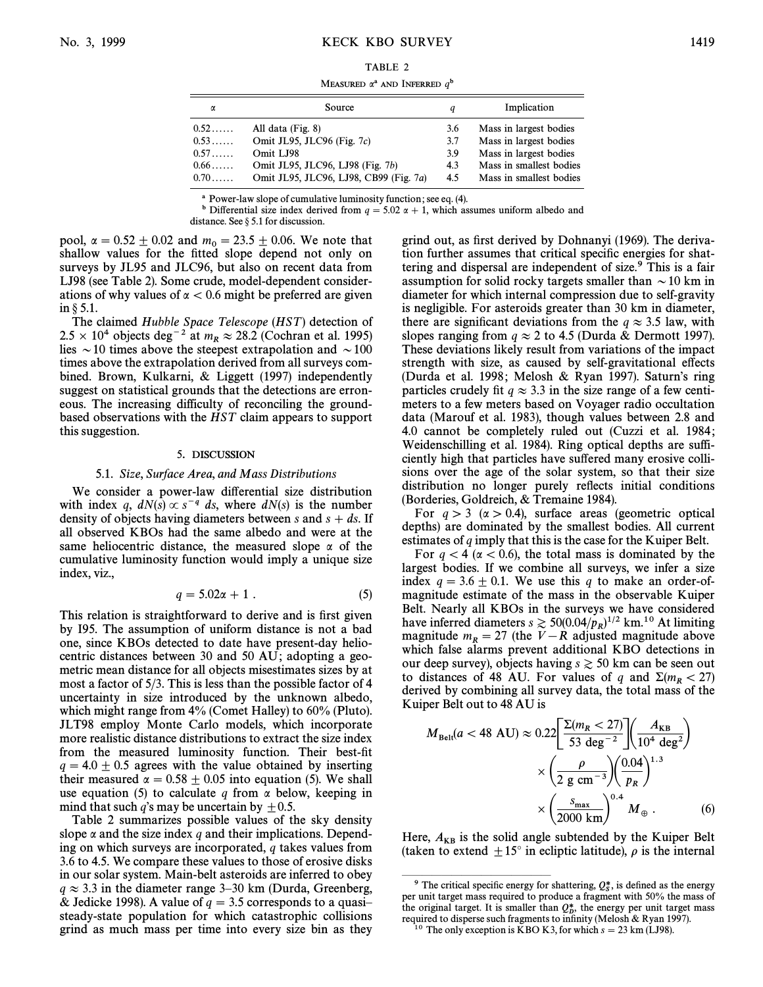## No. 3, 1999 KECK KBO SURVEY 1419

#### TABLE 2

MEASURED  $\alpha^a$  and Inferred  $q^b$ 

| α           | Source                                 | q   | Implication             |
|-------------|----------------------------------------|-----|-------------------------|
| $0.52\dots$ | All data (Fig. 8)                      | 3.6 | Mass in largest bodies  |
| 0.53        | Omit JL95, JLC96 (Fig. 7c)             | 3.7 | Mass in largest bodies  |
| 0.57        | Omit LJ98                              | 3.9 | Mass in largest bodies  |
| $0.66\dots$ | Omit JL95, JLC96, LJ98 (Fig. 7b)       | 4.3 | Mass in smallest bodies |
| $0.70\dots$ | Omit JL95, JLC96, LJ98, CB99 (Fig. 7a) | 4.5 | Mass in smallest bodies |

a Power-law slope of cumulative luminosity function ; see eq. (4).

<sup>b</sup> Differential size index derived from  $q = 5.02 \alpha + 1$ , which assumes uniform albedo and distance. See  $\S 5.1$  for discussion.

pool,  $\alpha = 0.52 \pm 0.02$  and  $m_0 = 23.5 \pm 0.06$ . We note that shallow values for the fitted slope depend not only on surveys by JL95 and JLC96, but also on recent data from LJ98 (see Table 2). Some crude, model-dependent considerations of why values of  $\alpha$  < 0.6 might be preferred are given in  $\S$  5.1.

The claimed Hubble Space Telescope (HST) detection of  $2.5 \times 10^4$  objects deg<sup>-2</sup> at  $m_R \approx 28.2$  (Cochran et al. 1995) lies  $\sim$  10 times above the steepest extrapolation and  $\sim$  100 times above the extrapolation derived from all surveys combined. Brown, Kulkarni, & Liggett (1997) independently suggest on statistical grounds that the detections are erroneous. The increasing difficulty of reconciling the groundbased observations with the HST claim appears to support this suggestion.

#### 5. DISCUSSION

#### 5.1. Size, Surface Area, and Mass Distributions

We consider a power-law differential size distribution with index q,  $dN(s) \propto s^{-q} ds$ , where  $dN(s)$  is the number density of objects having diameters between s and  $s + ds$ . If all observed KBOs had the same albedo and were at the same heliocentric distance, the measured slope  $\alpha$  of the cumulative luminosity function would imply a unique size index, viz.,

$$
q = 5.02\alpha + 1. \tag{5}
$$

This relation is straightforward to derive and is first given by I95. The assumption of uniform distance is not a bad one, since KBOs detected to date have present-day heliocentric distances between 30 and 50 AU; adopting a geometric mean distance for all objects misestimates sizes by at most a factor of 5/3. This is less than the possible factor of 4 uncertainty in size introduced by the unknown albedo, which might range from 4% (Comet Halley) to 60% (Pluto). JLT98 employ Monte Carlo models, which incorporate more realistic distance distributions to extract the size index from the measured luminosity function. Their best-fit  $q = 4.0 \pm 0.5$  agrees with the value obtained by inserting their measured  $\alpha = 0.58 \pm 0.05$  into equation (5). We shall use equation (5) to calculate q from  $\alpha$  below, keeping in mind that such q's may be uncertain by  $\pm 0.5$ .

Table 2 summarizes possible values of the sky density slope  $\alpha$  and the size index q and their implications. Depending on which surveys are incorporated, q takes values from 3.6 to 4.5. We compare these values to those of erosive disks in our solar system. Main-belt asteroids are inferred to obey  $q \approx 3.3$  in the diameter range 3–30 km (Durda, Greenberg, & Jedicke 1998). A value of  $q = 3.5$  corresponds to a quasisteady-state population for which catastrophic collisions grind as much mass per time into every size bin as they

grind out, as first derived by Dohnanyi (1969). The derivation further assumes that critical specific energies for shattering and dispersal are independent of size.<sup>9</sup> This is a fair assumption for solid rocky targets smaller than  $\sim$  10 km in diameter for which internal compression due to self-gravity is negligible. For asteroids greater than 30 km in diameter, there are significant deviations from the  $q \approx 3.5$  law, with slopes ranging from  $q \approx 2$  to 4.5 (Durda & Dermott 1997). These deviations likely result from variations of the impact strength with size, as caused by self-gravitational effects (Durda et al. 1998; Melosh & Ryan 1997). Saturn's ring particles crudely fit  $q \approx 3.3$  in the size range of a few centimeters to a few meters based on Voyager radio occultation data (Marouf et al. 1983), though values between 2.8 and 4.0 cannot be completely ruled out (Cuzzi et al. 1984 ; Weidenschilling et al. 1984). Ring optical depths are sufficiently high that particles have suffered many erosive collisions over the age of the solar system, so that their size distribution no longer purely reflects initial conditions (Borderies, Goldreich, & Tremaine 1984).

For  $q > 3$  ( $\alpha > 0.4$ ), surface areas (geometric optical depths) are dominated by the smallest bodies. All current estimates of  $q$  imply that this is the case for the Kuiper Belt.

For  $q < 4$  ( $\alpha < 0.6$ ), the total mass is dominated by the largest bodies. If we combine all surveys, we infer a size index  $q = 3.6 \pm 0.1$ . We use this q to make an order-ofmagnitude estimate of the mass in the observable Kuiper Belt. Nearly all KBOs in the surveys we have considered have inferred diameters  $s \ge 50(0.04/p_R)^{1/2}$  km.<sup>10</sup> At limiting magnitude  $r = 27$  (the V<sub>L</sub> B adjusted magnitude above magnitude  $m_R = 27$  (the V - R adjusted magnitude above which false alarms prevent additional KBO detections in our deep survey), objects having  $s \gtrsim 50$  km can be seen out to distances of 48 AU. For values of q and  $\Sigma(m_R < 27)$ derived by combining all survey data, the total mass of the Kuiper Belt out to 48 AU is

$$
M_{\text{Belt}}(a < 48 \text{ AU}) \approx 0.22 \left[ \frac{\Sigma (m_R < 27)}{53 \text{ deg}^{-2}} \right] \left( \frac{A_{\text{KB}}}{10^4 \text{ deg}^2} \right)
$$

$$
\times \left( \frac{\rho}{2 \text{ g cm}^{-3}} \right) \left( \frac{0.04}{p_R} \right)^{1.3}
$$

$$
\times \left( \frac{s_{\text{max}}}{2000 \text{ km}} \right)^{0.4} M_{\oplus} . \tag{6}
$$

Here,  $A_{KB}$  is the solid angle subtended by the Kuiper Belt (taken to extend  $\pm 15^\circ$  in ecliptic latitude),  $\rho$  is the internal

ÈÈÈÈÈÈÈÈÈÈÈÈÈÈÈ

<sup>&</sup>lt;sup>9</sup> The critical specific energy for shattering,  $Q_5^*$ , is defined as the energy  $\frac{1}{2}$  unit target mass required to produce a fragment with 50% the mass of per unit target mass required to produce a fragment with 50% the mass of the original target. It is smaller than  $Q_b^*$ , the energy per unit target mass required to disperse such fragments to infinity (Melosh & Pyan 1997) required to disperse such fragments to infinity (Melosh & Ryan 1997).

<sup>&</sup>lt;sup>10</sup> The only exception is KBO K3, for which  $s = 23 \text{ km}$  (LJ98).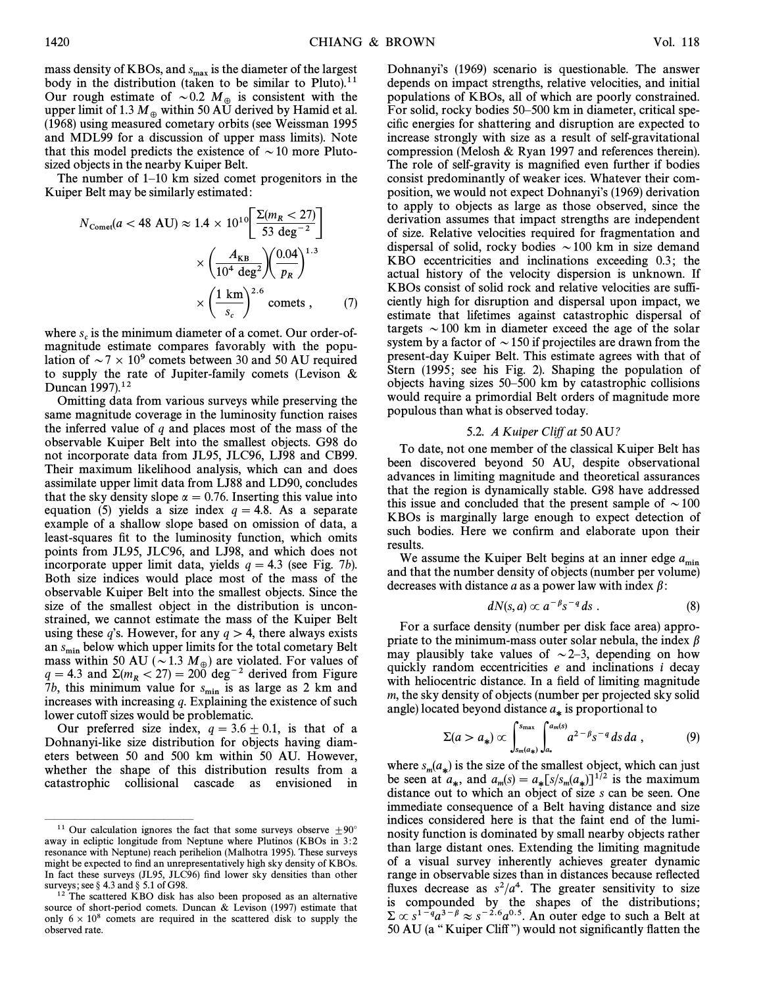mass density of KBOs, and  $s_{\text{max}}$  is the diameter of the largest body in the distribution (taken to be similar to Pluto).<sup>11</sup> Our rough estimate of  $\sim 0.2$   $M_{\oplus}$  is consistent with the more limit of 1.3 M, within 50 AU derived by Hamid et al. upper limit of 1.3  $M_{\oplus}$  within 50 AU derived by Hamid et al.<br>(1968) using measured cometary orbits (see Weissman 1995 (1968) using measured cometary orbits (see Weissman 1995 and MDL99 for a discussion of upper mass limits). Note that this model predicts the existence of  $\sim$  10 more Plutosized objects in the nearby Kuiper Belt.

The number of  $1-10$  km sized comet progenitors in the Kuiper Belt may be similarly estimated :

$$
N_{\text{Comet}}(a < 48 \text{ AU}) \approx 1.4 \times 10^{10} \left[ \frac{\Sigma (m_R < 27)}{53 \text{ deg}^{-2}} \right]
$$

$$
\times \left( \frac{A_{\text{KB}}}{10^4 \text{ deg}^2} \right) \left( \frac{0.04}{p_R} \right)^{1.3}
$$

$$
\times \left( \frac{1 \text{ km}}{s_c} \right)^{2.6} \text{ comets} , \tag{7}
$$

where  $s_c$  is the minimum diameter of a comet. Our order-ofmagnitude estimate compares favorably with the population of  $\sim$  7  $\times$  10<sup>9</sup> comets between 30 and 50 AU required to supply the rate of Jupiter-family comets (Levison  $\&$ Duncan 1997).<sup>12</sup>

Omitting data from various surveys while preserving the same magnitude coverage in the luminosity function raises the inferred value of  $q$  and places most of the mass of the observable Kuiper Belt into the smallest objects. G98 do not incorporate data from JL95, JLC96, LJ98 and CB99. Their maximum likelihood analysis, which can and does assimilate upper limit data from LJ88 and LD90, concludes that the sky density slope  $\alpha = 0.76$ . Inserting this value into equation (5) yields a size index  $q = 4.8$ . As a separate example of a shallow slope based on omission of data, a least-squares fit to the luminosity function, which omits points from JL95, JLC96, and LJ98, and which does not incorporate upper limit data, yields  $q = 4.3$  (see Fig. 7b). Both size indices would place most of the mass of the observable Kuiper Belt into the smallest objects. Since the size of the smallest object in the distribution is unconstrained, we cannot estimate the mass of the Kuiper Belt using these q's. However, for any  $q > 4$ , there always exists an  $s_{\min}$  below which upper limits for the total cometary Belt mass within 50 AU ( $\sim$  1.3  $M_{\oplus}$ ) are violated. For values of  $q = 4.3$  and  $\Sigma (m_R < 27) = 200$  deg<sup>-2</sup> derived from Figure 7b, this minimum value for  $s_{\min}$  is as large as 2 km and increases with increasing  $q$ . Explaining the existence of such lower cutoff sizes would be problematic.

Our preferred size index,  $q = 3.6 \pm 0.1$ , is that of a Dohnanyi-like size distribution for objects having diameters between 50 and 500 km within 50 AU. However, whether the shape of this distribution results from a catastrophic collisional cascade as envisioned in Dohnanyi's (1969) scenario is questionable. The answer depends on impact strengths, relative velocities, and initial populations of KBOs, all of which are poorly constrained. For solid, rocky bodies 50–500 km in diameter, critical specific energies for shattering and disruption are expected to increase strongly with size as a result of self-gravitational compression (Melosh & Ryan 1997 and references therein). The role of self-gravity is magnified even further if bodies consist predominantly of weaker ices. Whatever their composition, we would not expect Dohnanyi's (1969) derivation to apply to objects as large as those observed, since the derivation assumes that impact strengths are independent of size. Relative velocities required for fragmentation and dispersal of solid, rocky bodies  $\sim$  100 km in size demand KBO eccentricities and inclinations exceeding 0.3; the actual history of the velocity dispersion is unknown. If KBOs consist of solid rock and relative velocities are sufficiently high for disruption and dispersal upon impact, we estimate that lifetimes against catastrophic dispersal of targets  $\sim$  100 km in diameter exceed the age of the solar system by a factor of  $\sim$  150 if projectiles are drawn from the present-day Kuiper Belt. This estimate agrees with that of Stern (1995; see his Fig. 2). Shaping the population of objects having sizes  $50-500$  km by catastrophic collisions would require a primordial Belt orders of magnitude more populous than what is observed today.

# 5.2. A Kuiper Cliff at 50 AU?

To date, not one member of the classical Kuiper Belt has been discovered beyond 50 AU, despite observational advances in limiting magnitude and theoretical assurances that the region is dynamically stable. G98 have addressed this issue and concluded that the present sample of  $\sim 100$ KBOs is marginally large enough to expect detection of such bodies. Here we confirm and elaborate upon their results.

We assume the Kuiper Belt begins at an inner edge  $a_{\min}$ and that the number density of objects (number per volume) decreases with distance a as a power law with index  $\beta$ :

$$
dN(s,a) \propto a^{-\beta} s^{-q} ds . \qquad (8)
$$

For a surface density (number per disk face area) appropriate to the minimum-mass outer solar nebula, the index  $\beta$ may plausibly take values of  $\sim$  2–3, depending on how quickly random eccentricities e and inclinations i decay with heliocentric distance. In a field of limiting magnitude m, the sky density of objects (number per projected sky solid

angle) located beyond distance 
$$
a_{*}
$$
 is proportional to  
\n
$$
\Sigma(a > a_{*}) \propto \int_{s_{m}(a_{*})}^{s_{\text{max}}} \int_{a_{*}}^{a_{m}(s)} a^{2-\beta} s^{-q} ds da , \qquad (9)
$$

where  $s_m(a_*)$  is the size of the smallest object, which can just where  $s_m(a_*)$  is the size of the simulated spect, when can just<br>be seen at  $a_*$ , and  $a_m(s) = a_s[s/s_m(a_*)]^{1/2}$  is the maximum distance out to which an object of size s can be seen. One immediate consequence of a Belt having distance and size indices considered here is that the faint end of the luminosity function is dominated by small nearby objects rather than large distant ones. Extending the limiting magnitude of a visual survey inherently achieves greater dynamic range in observable sizes than in distances because reflected fluxes decrease as  $s^2/a^4$ . The greater sensitivity to size is compounded by the shapes of the distributions;  $\Sigma \propto s^{1-q} a^{3-\beta} \approx s^{-2.6} a^{0.5}$ . An outer edge to such a Belt at 50 AU (a "Kuiper Cliff") would not significantly flatten the

ÈÈÈÈÈÈÈÈÈÈÈÈÈÈÈ <sup>11</sup> Our calculation ignores the fact that some surveys observe  $\pm 90^\circ$ away in ecliptic longitude from Neptune where Plutinos (KBOs in 3:2 resonance with Neptune) reach perihelion (Malhotra 1995). These surveys might be expected to find an unrepresentatively high sky density of KBOs. In fact these surveys (JL95, JLC96) find lower sky densities than other surveys; see  $\S$  4.3 and  $\S$  5.1 of G98.

<sup>&</sup>lt;sup>12</sup> The scattered KBO disk has also been proposed as an alternative source of short-period comets. Duncan & Levison (1997) estimate that only  $6 \times 10^8$  comets are required in the scattered disk to supply the observed rate.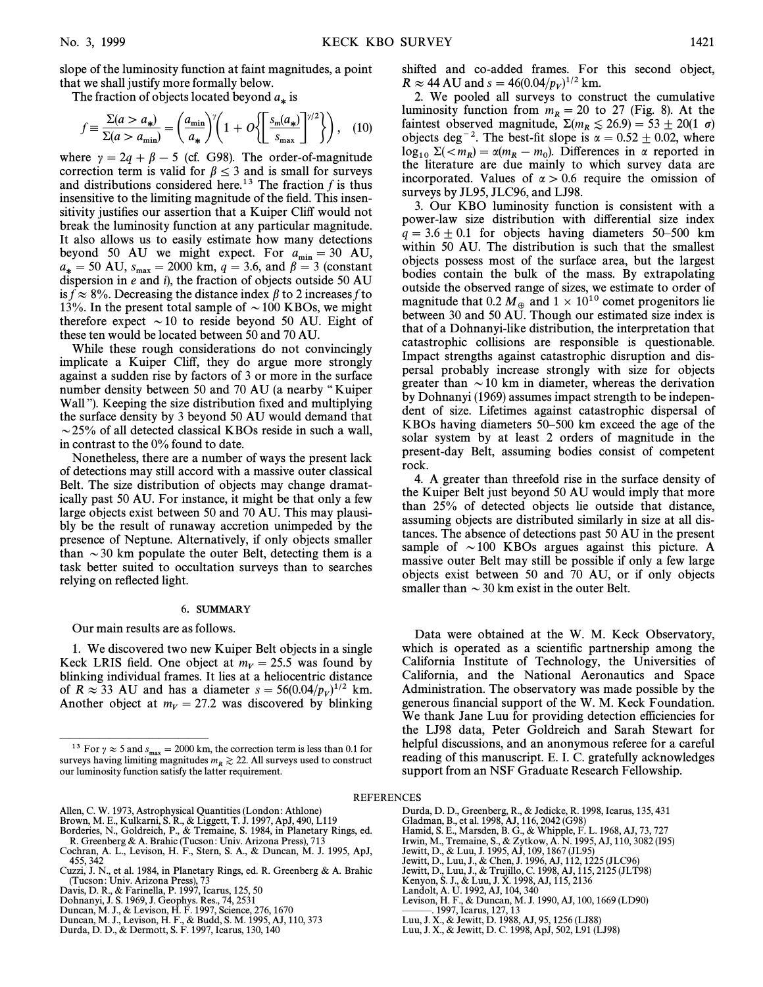slope of the luminosity function at faint magnitudes, a point that we shall justify more formally below.

The fraction of objects located beyond 
$$
a_{*}
$$
 is  
\n
$$
f \equiv \frac{\Sigma(a > a_{*})}{\Sigma(a > a_{\min})} = \left(\frac{a_{\min}}{a_{*}}\right)^{\gamma} \left(1 + O\left\{\left[\frac{s_{m}(a_{*})}{s_{\max}}\right]^{\gamma/2}\right\}\right), \quad (10)
$$

where  $\gamma = 2q + \beta - 5$  (cf. G98). The order-of-magnitude correction term is valid for  $\beta \leq 3$  and is small for surveys and distributions considered here.<sup>13</sup> The fraction  $f$  is thus insensitive to the limiting magnitude of the field. This insensitivity justifies our assertion that a Kuiper Cliff would not break the luminosity function at any particular magnitude. It also allows us to easily estimate how many detections beyond 50 AU we might expect. For  $a_{\text{min}} = 30$  AU,<br> $a_{\text{min}} = 50$  AU s = 2000 km  $a = 3.6$  and  $b = 3$  (constant  $a_* = 50 \text{ AU}, s_{\text{max}} = 2000 \text{ km}, q = 3.6, \text{ and } \beta = 3 \text{ (constant) }$ dispersion in e and i), the fraction of objects outside 50 AU is  $\bar{f} \approx 8\%$ . Decreasing the distance index  $\beta$  to 2 increases f to 13%. In the present total sample of  $\sim$  100 KBOs, we might therefore expect  $\sim$  10 to reside beyond 50 AU. Eight of these ten would be located between 50 and 70 AU.

While these rough considerations do not convincingly implicate a Kuiper Cliff, they do argue more strongly against a sudden rise by factors of 3 or more in the surface number density between 50 and 70 AU (a nearby "Kuiper Wall"). Keeping the size distribution fixed and multiplying the surface density by 3 beyond 50 AU would demand that  $\sim$  25% of all detected classical KBOs reside in such a wall, in contrast to the 0% found to date.

Nonetheless, there are a number of ways the present lack of detections may still accord with a massive outer classical Belt. The size distribution of objects may change dramatically past 50 AU. For instance, it might be that only a few large objects exist between 50 and 70 AU. This may plausibly be the result of runaway accretion unimpeded by the presence of Neptune. Alternatively, if only objects smaller than  $\sim$  30 km populate the outer Belt, detecting them is a task better suited to occultation surveys than to searches relying on reflected light.

## 6. SUMMARY

Our main results are as follows.

ÈÈÈÈÈÈÈÈÈÈÈÈÈÈÈ

1. We discovered two new Kuiper Belt objects in a single Keck LRIS field. One object at  $m_V = 25.5$  was found by blinking individual frames. It lies at a heliocentric distance of  $R \approx 33$  AU and has a diameter  $s = 56(0.04/p_V)^{1/2}$  km. Another object at  $m_V = 27.2$  was discovered by blinking

shifted and co-added frames. For this second object,  $R \approx 44 \text{ AU}$  and  $s = 46(0.04/p_V)^{1/2} \text{ km}$ .

2. We pooled all surveys to construct the cumulative luminosity function from  $m_R = 20$  to 27 (Fig. 8). At the faintest observed magnitude,  $\Sigma(m_R \lesssim 26.9) = 53 \pm 20(1 \sigma)$ objects deg<sup>-2</sup>. The best-fit slope is  $\alpha = 0.52 \pm 0.02$ , where  $\log_{10} \Sigma(< m_R) = \alpha(m_R - m_0)$ . Differences in  $\alpha$  reported in the literature are due mainly to which survey data are the literature are due mainly to which survey data are incorporated. Values of  $\alpha > 0.6$  require the omission of surveys by JL95, JLC96, and LJ98.

3. Our KBO luminosity function is consistent with a power-law size distribution with di†erential size index  $q = 3.6 \pm 0.1$  for objects having diameters 50–500 km within 50 AU. The distribution is such that the smallest objects possess most of the surface area, but the largest bodies contain the bulk of the mass. By extrapolating outside the observed range of sizes, we estimate to order of magnitude that 0.2  $M_{\oplus}$  and  $1 \times 10^{10}$  comet progenitors lie between 30 and 50 AU. Though our estimated size index is that of a Dohnanyi-like distribution, the interpretation that catastrophic collisions are responsible is questionable. Impact strengths against catastrophic disruption and dispersal probably increase strongly with size for objects greater than  $\sim$  10 km in diameter, whereas the derivation by Dohnanyi (1969) assumes impact strength to be independent of size. Lifetimes against catastrophic dispersal of KBOs having diameters  $50-500$  km exceed the age of the solar system by at least 2 orders of magnitude in the present-day Belt, assuming bodies consist of competent rock.

4. A greater than threefold rise in the surface density of the Kuiper Belt just beyond 50 AU would imply that more than 25% of detected objects lie outside that distance, assuming objects are distributed similarly in size at all distances. The absence of detections past 50 AU in the present sample of  $\sim$  100 KBOs argues against this picture. A massive outer Belt may still be possible if only a few large objects exist between 50 and 70 AU, or if only objects smaller than  $\sim$  30 km exist in the outer Belt.

Data were obtained at the W. M. Keck Observatory, which is operated as a scientific partnership among the California Institute of Technology, the Universities of California, and the National Aeronautics and Space Administration. The observatory was made possible by the generous financial support of the W. M. Keck Foundation. We thank Jane Luu for providing detection efficiencies for the LJ98 data, Peter Goldreich and Sarah Stewart for helpful discussions, and an anonymous referee for a careful reading of this manuscript. E. I. C. gratefully acknowledges support from an NSF Graduate Research Fellowship.

**REFERENCES** 

- Allen, C. W. 1973, Astrophysical Quantities (London : Athlone) Brown, M. E., Kulkarni, S. R., & Liggett, T. J. 1997, ApJ, 490, L119
- 
- Borderies, N., Goldreich, P., & Tremaine, S. 1984, in Planetary Rings, ed. R. Greenberg & A. Brahic (Tucson : Univ. Arizona Press), 713 Cochran, A. L., Levison, H. F., Stern, S. A., & Duncan, M. J. 1995, ApJ,
- 455, 342
- Cuzzi, J. N., et al. 1984, in Planetary Rings, ed. R. Greenberg & A. Brahic (Tucson : Univ. Arizona Press), 73 Davis, D. R., & Farinella, P. 1997, Icarus, 125, 50
- 
- Dohnanyi, J. S. 1969, J. Geophys. Res., 74, 2531
- Duncan, M. J., & Levison, H. F. 1997, Science, 276, 1670 Duncan, M. J., Levison, H. F., & Budd, S. M. 1995, AJ, 110, 373
- 
- Durda, D. D., & Dermott, S. F. 1997, Icarus, 130, 140
- Durda, D. D., Greenberg, R., & Jedicke, R. 1998, Icarus, 135, 431 Gladman, B., et al. 1998, AJ, 116, 2042 (G98)
- Hamid, S. E., Marsden, B. G., & Whipple, F. L. 1968, AJ, 73, 727 Irwin, M., Tremaine, S., & Zytkow, A. N. 1995, AJ, 110, 3082 (I95)
- Jewitt, D., & Luu, J. 1995, AJ, 109, 1867 (JL95)
- 
- Jewitt, D., Luu, J., & Chen, J. 1996, AJ, 112, 1225 (JLC96) Jewitt, D., Luu, J., & Trujillo, C. 1998, AJ, 115, 2125 (JLT98)
- 
- Kenyon, S. J., & Luu, J. X. 1998, AJ, 115, 2136 Landolt, A. U. 1992, AJ, 104, 340
- Levison, H. F., & Duncan, M. J. 1990, AJ, 100, 1669 (LD90)
- ÈÈÈ. 1997, Icarus, 127, 13 Luu, J. X., & Jewitt, D. 1988, AJ, 95, 1256 (LJ88)
- Luu, J. X., & Jewitt, D. C. 1998, ApJ, 502, L91 (LJ98)
- 

<sup>&</sup>lt;sup>13</sup> For  $\gamma \approx 5$  and  $s_{\text{max}} = 2000$  km, the correction term is less than 0.1 for space hours limiting magnitudes  $m \geq 22$ . All surveys used to construct surveys having limiting magnitudes  $m_R \gtrsim 22$ . All surveys used to construct our luminosity function satisfy the latter requirement.